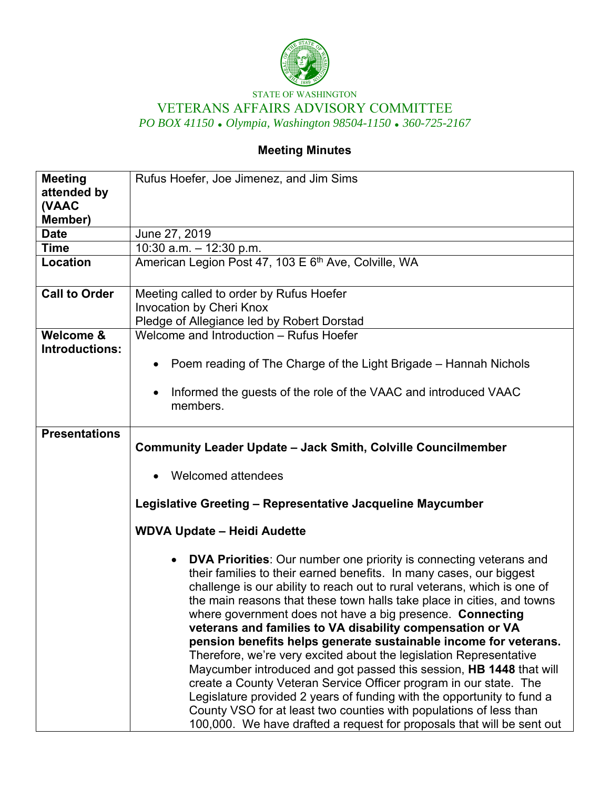

## STATE OF WASHINGTON VETERANS AFFAIRS ADVISORY COMMITTEE *PO BOX 41150 Olympia, Washington 98504-1150 360-725-2167*

## **Meeting Minutes**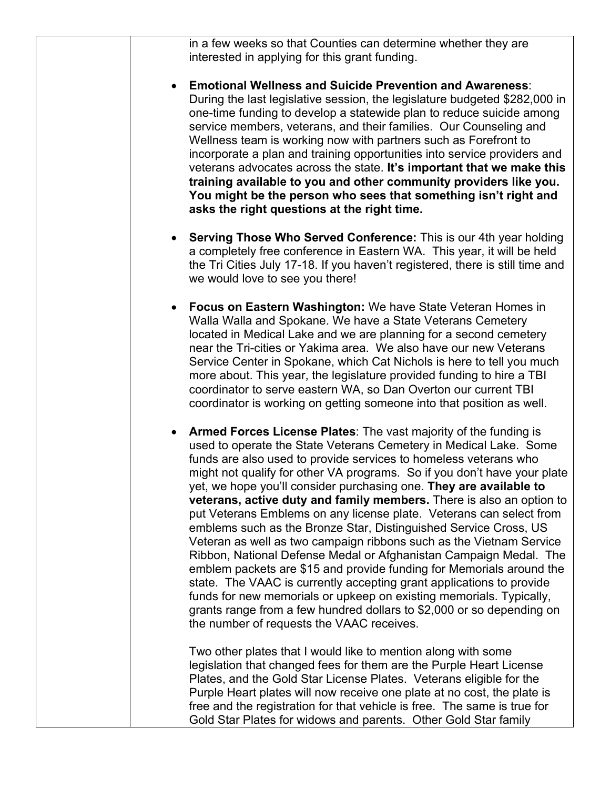| in a few weeks so that Counties can determine whether they are<br>interested in applying for this grant funding.                                                                                                                                                                                                                                                                                                                                                                                                                                                                                                                                                                                                                                                                                                                                                                                                                                                                                                                                                        |
|-------------------------------------------------------------------------------------------------------------------------------------------------------------------------------------------------------------------------------------------------------------------------------------------------------------------------------------------------------------------------------------------------------------------------------------------------------------------------------------------------------------------------------------------------------------------------------------------------------------------------------------------------------------------------------------------------------------------------------------------------------------------------------------------------------------------------------------------------------------------------------------------------------------------------------------------------------------------------------------------------------------------------------------------------------------------------|
| <b>Emotional Wellness and Suicide Prevention and Awareness:</b><br>During the last legislative session, the legislature budgeted \$282,000 in<br>one-time funding to develop a statewide plan to reduce suicide among<br>service members, veterans, and their families. Our Counseling and<br>Wellness team is working now with partners such as Forefront to<br>incorporate a plan and training opportunities into service providers and<br>veterans advocates across the state. It's important that we make this<br>training available to you and other community providers like you.<br>You might be the person who sees that something isn't right and<br>asks the right questions at the right time.                                                                                                                                                                                                                                                                                                                                                               |
| • Serving Those Who Served Conference: This is our 4th year holding<br>a completely free conference in Eastern WA. This year, it will be held<br>the Tri Cities July 17-18. If you haven't registered, there is still time and<br>we would love to see you there!                                                                                                                                                                                                                                                                                                                                                                                                                                                                                                                                                                                                                                                                                                                                                                                                       |
| Focus on Eastern Washington: We have State Veteran Homes in<br>Walla Walla and Spokane. We have a State Veterans Cemetery<br>located in Medical Lake and we are planning for a second cemetery<br>near the Tri-cities or Yakima area. We also have our new Veterans<br>Service Center in Spokane, which Cat Nichols is here to tell you much<br>more about. This year, the legislature provided funding to hire a TBI<br>coordinator to serve eastern WA, so Dan Overton our current TBI<br>coordinator is working on getting someone into that position as well.                                                                                                                                                                                                                                                                                                                                                                                                                                                                                                       |
| Armed Forces License Plates: The vast majority of the funding is<br>used to operate the State Veterans Cemetery in Medical Lake. Some<br>funds are also used to provide services to homeless veterans who<br>might not qualify for other VA programs. So if you don't have your plate<br>yet, we hope you'll consider purchasing one. They are available to<br>veterans, active duty and family members. There is also an option to<br>put Veterans Emblems on any license plate. Veterans can select from<br>emblems such as the Bronze Star, Distinguished Service Cross, US<br>Veteran as well as two campaign ribbons such as the Vietnam Service<br>Ribbon, National Defense Medal or Afghanistan Campaign Medal. The<br>emblem packets are \$15 and provide funding for Memorials around the<br>state. The VAAC is currently accepting grant applications to provide<br>funds for new memorials or upkeep on existing memorials. Typically,<br>grants range from a few hundred dollars to \$2,000 or so depending on<br>the number of requests the VAAC receives. |
| Two other plates that I would like to mention along with some<br>legislation that changed fees for them are the Purple Heart License<br>Plates, and the Gold Star License Plates. Veterans eligible for the<br>Purple Heart plates will now receive one plate at no cost, the plate is<br>free and the registration for that vehicle is free. The same is true for<br>Gold Star Plates for widows and parents. Other Gold Star family                                                                                                                                                                                                                                                                                                                                                                                                                                                                                                                                                                                                                                   |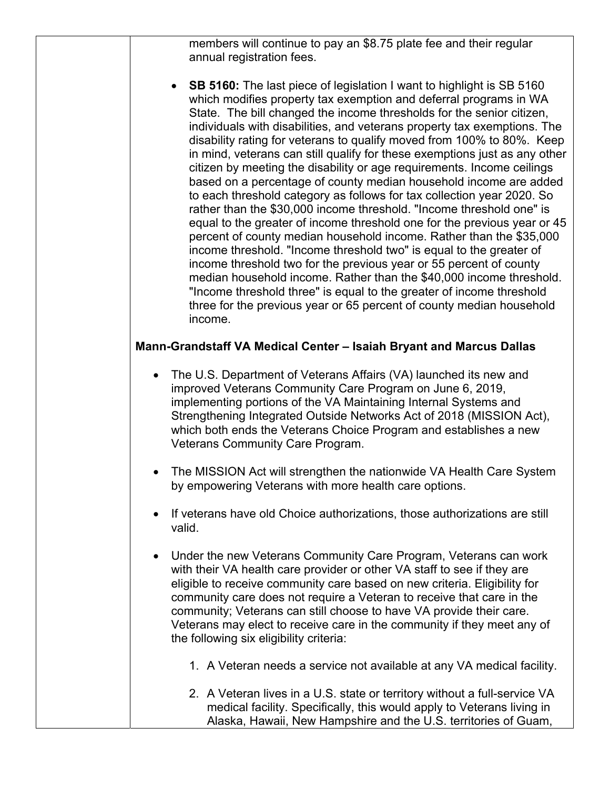members will continue to pay an \$8.75 plate fee and their regular annual registration fees.

• **SB 5160:** The last piece of legislation I want to highlight is SB 5160 which modifies property tax exemption and deferral programs in WA State. The bill changed the income thresholds for the senior citizen, individuals with disabilities, and veterans property tax exemptions. The disability rating for veterans to qualify moved from 100% to 80%. Keep in mind, veterans can still qualify for these exemptions just as any other citizen by meeting the disability or age requirements. Income ceilings based on a percentage of county median household income are added to each threshold category as follows for tax collection year 2020. So rather than the \$30,000 income threshold. "Income threshold one" is equal to the greater of income threshold one for the previous year or 45 percent of county median household income. Rather than the \$35,000 income threshold. "Income threshold two" is equal to the greater of income threshold two for the previous year or 55 percent of county median household income. Rather than the \$40,000 income threshold. "Income threshold three" is equal to the greater of income threshold three for the previous year or 65 percent of county median household income.

## **Mann-Grandstaff VA Medical Center – Isaiah Bryant and Marcus Dallas**

- The U.S. Department of Veterans Affairs (VA) launched its new and improved Veterans Community Care Program on June 6, 2019, implementing portions of the VA Maintaining Internal Systems and Strengthening Integrated Outside Networks Act of 2018 (MISSION Act), which both ends the Veterans Choice Program and establishes a new Veterans Community Care Program.
- The MISSION Act will strengthen the nationwide VA Health Care System by empowering Veterans with more health care options.
- If veterans have old Choice authorizations, those authorizations are still valid.
- Under the new Veterans Community Care Program, Veterans can work with their VA health care provider or other VA staff to see if they are eligible to receive community care based on new criteria. Eligibility for community care does not require a Veteran to receive that care in the community; Veterans can still choose to have VA provide their care. Veterans may elect to receive care in the community if they meet any of the following six eligibility criteria:
	- 1. A Veteran needs a service not available at any VA medical facility.
	- 2. A Veteran lives in a U.S. state or territory without a full-service VA medical facility. Specifically, this would apply to Veterans living in Alaska, Hawaii, New Hampshire and the U.S. territories of Guam,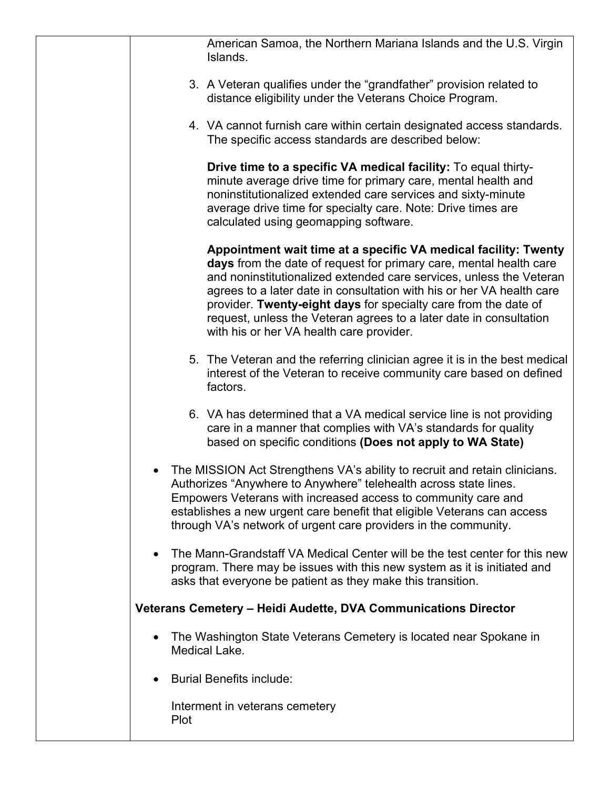| American Samoa, the Northern Mariana Islands and the U.S. Virgin<br>Islands.                                                                                                                                                                                                                                                                                                                                                                                               |
|----------------------------------------------------------------------------------------------------------------------------------------------------------------------------------------------------------------------------------------------------------------------------------------------------------------------------------------------------------------------------------------------------------------------------------------------------------------------------|
| 3. A Veteran qualifies under the "grandfather" provision related to<br>distance eligibility under the Veterans Choice Program.                                                                                                                                                                                                                                                                                                                                             |
| 4. VA cannot furnish care within certain designated access standards.<br>The specific access standards are described below:                                                                                                                                                                                                                                                                                                                                                |
| Drive time to a specific VA medical facility: To equal thirty-<br>minute average drive time for primary care, mental health and<br>noninstitutionalized extended care services and sixty-minute<br>average drive time for specialty care. Note: Drive times are<br>calculated using geomapping software.                                                                                                                                                                   |
| Appointment wait time at a specific VA medical facility: Twenty<br>days from the date of request for primary care, mental health care<br>and noninstitutionalized extended care services, unless the Veteran<br>agrees to a later date in consultation with his or her VA health care<br>provider. Twenty-eight days for specialty care from the date of<br>request, unless the Veteran agrees to a later date in consultation<br>with his or her VA health care provider. |
| 5. The Veteran and the referring clinician agree it is in the best medical<br>interest of the Veteran to receive community care based on defined<br>factors.                                                                                                                                                                                                                                                                                                               |
| 6. VA has determined that a VA medical service line is not providing<br>care in a manner that complies with VA's standards for quality<br>based on specific conditions (Does not apply to WA State)                                                                                                                                                                                                                                                                        |
| The MISSION Act Strengthens VA's ability to recruit and retain clinicians.<br>Authorizes "Anywhere to Anywhere" telehealth across state lines.<br>Empowers Veterans with increased access to community care and<br>establishes a new urgent care benefit that eligible Veterans can access<br>through VA's network of urgent care providers in the community.                                                                                                              |
| The Mann-Grandstaff VA Medical Center will be the test center for this new<br>program. There may be issues with this new system as it is initiated and<br>asks that everyone be patient as they make this transition.                                                                                                                                                                                                                                                      |
| Veterans Cemetery - Heidi Audette, DVA Communications Director                                                                                                                                                                                                                                                                                                                                                                                                             |
| The Washington State Veterans Cemetery is located near Spokane in<br>Medical Lake.                                                                                                                                                                                                                                                                                                                                                                                         |
| <b>Burial Benefits include:</b>                                                                                                                                                                                                                                                                                                                                                                                                                                            |
| Interment in veterans cemetery<br><b>Plot</b>                                                                                                                                                                                                                                                                                                                                                                                                                              |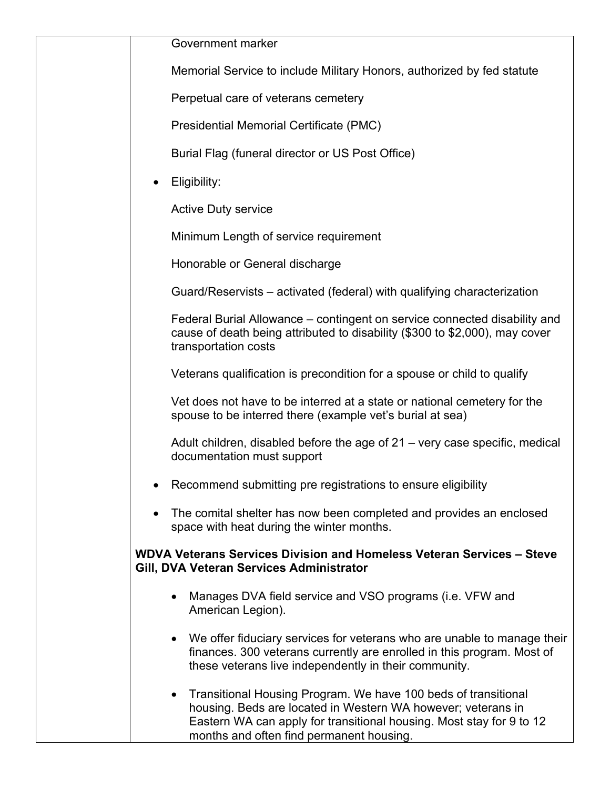Memorial Service to include Military Honors, authorized by fed statute

Perpetual care of veterans cemetery

Presidential Memorial Certificate (PMC)

Burial Flag (funeral director or US Post Office)

Eligibility:

Active Duty service

Minimum Length of service requirement

Honorable or General discharge

Guard/Reservists – activated (federal) with qualifying characterization

Federal Burial Allowance – contingent on service connected disability and cause of death being attributed to disability (\$300 to \$2,000), may cover transportation costs

Veterans qualification is precondition for a spouse or child to qualify

Vet does not have to be interred at a state or national cemetery for the spouse to be interred there (example vet's burial at sea)

Adult children, disabled before the age of 21 – very case specific, medical documentation must support

- Recommend submitting pre registrations to ensure eligibility
- The comital shelter has now been completed and provides an enclosed space with heat during the winter months.

## **WDVA Veterans Services Division and Homeless Veteran Services – Steve Gill, DVA Veteran Services Administrator**

- Manages DVA field service and VSO programs (i.e. VFW and American Legion).
- We offer fiduciary services for veterans who are unable to manage their finances. 300 veterans currently are enrolled in this program. Most of these veterans live independently in their community.
- Transitional Housing Program. We have 100 beds of transitional housing. Beds are located in Western WA however; veterans in Eastern WA can apply for transitional housing. Most stay for 9 to 12 months and often find permanent housing.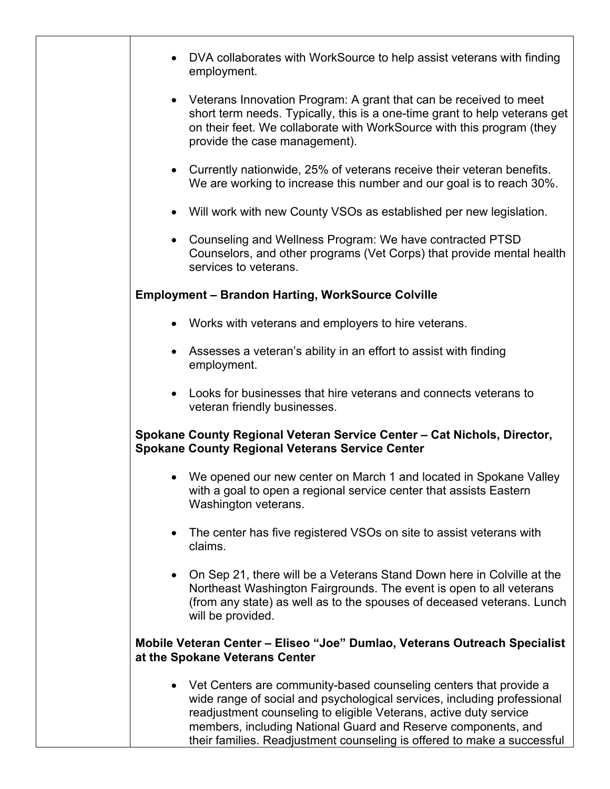|           | DVA collaborates with WorkSource to help assist veterans with finding<br>employment.                                                                                                                                                                                                                                                                            |
|-----------|-----------------------------------------------------------------------------------------------------------------------------------------------------------------------------------------------------------------------------------------------------------------------------------------------------------------------------------------------------------------|
|           | • Veterans Innovation Program: A grant that can be received to meet<br>short term needs. Typically, this is a one-time grant to help veterans get<br>on their feet. We collaborate with WorkSource with this program (they<br>provide the case management).                                                                                                     |
| $\bullet$ | Currently nationwide, 25% of veterans receive their veteran benefits.<br>We are working to increase this number and our goal is to reach 30%.                                                                                                                                                                                                                   |
| $\bullet$ | Will work with new County VSOs as established per new legislation.                                                                                                                                                                                                                                                                                              |
| $\bullet$ | Counseling and Wellness Program: We have contracted PTSD<br>Counselors, and other programs (Vet Corps) that provide mental health<br>services to veterans.                                                                                                                                                                                                      |
|           | <b>Employment - Brandon Harting, WorkSource Colville</b>                                                                                                                                                                                                                                                                                                        |
|           | • Works with veterans and employers to hire veterans.                                                                                                                                                                                                                                                                                                           |
|           | Assesses a veteran's ability in an effort to assist with finding<br>employment.                                                                                                                                                                                                                                                                                 |
| $\bullet$ | Looks for businesses that hire veterans and connects veterans to<br>veteran friendly businesses.                                                                                                                                                                                                                                                                |
|           | Spokane County Regional Veteran Service Center - Cat Nichols, Director,<br><b>Spokane County Regional Veterans Service Center</b>                                                                                                                                                                                                                               |
|           | We opened our new center on March 1 and located in Spokane Valley<br>with a goal to open a regional service center that assists Eastern<br>Washington veterans.                                                                                                                                                                                                 |
| $\bullet$ | The center has five registered VSOs on site to assist veterans with<br>claims.                                                                                                                                                                                                                                                                                  |
| $\bullet$ | On Sep 21, there will be a Veterans Stand Down here in Colville at the<br>Northeast Washington Fairgrounds. The event is open to all veterans<br>(from any state) as well as to the spouses of deceased veterans. Lunch<br>will be provided.                                                                                                                    |
|           | Mobile Veteran Center - Eliseo "Joe" Dumlao, Veterans Outreach Specialist<br>at the Spokane Veterans Center                                                                                                                                                                                                                                                     |
|           | • Vet Centers are community-based counseling centers that provide a<br>wide range of social and psychological services, including professional<br>readjustment counseling to eligible Veterans, active duty service<br>members, including National Guard and Reserve components, and<br>their families. Readjustment counseling is offered to make a successful |
|           |                                                                                                                                                                                                                                                                                                                                                                 |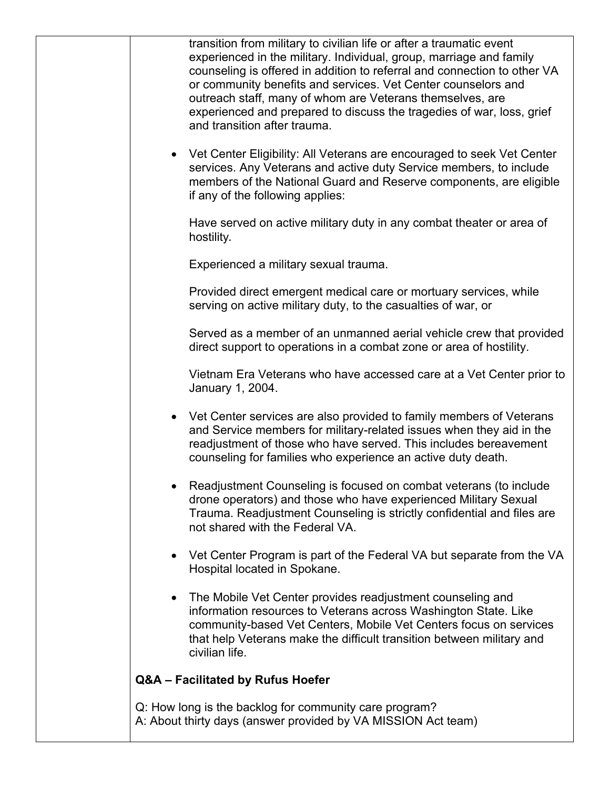| transition from military to civilian life or after a traumatic event<br>experienced in the military. Individual, group, marriage and family<br>counseling is offered in addition to referral and connection to other VA<br>or community benefits and services. Vet Center counselors and<br>outreach staff, many of whom are Veterans themselves, are<br>experienced and prepared to discuss the tragedies of war, loss, grief<br>and transition after trauma. |
|----------------------------------------------------------------------------------------------------------------------------------------------------------------------------------------------------------------------------------------------------------------------------------------------------------------------------------------------------------------------------------------------------------------------------------------------------------------|
| Vet Center Eligibility: All Veterans are encouraged to seek Vet Center<br>services. Any Veterans and active duty Service members, to include<br>members of the National Guard and Reserve components, are eligible<br>if any of the following applies:                                                                                                                                                                                                         |
| Have served on active military duty in any combat theater or area of<br>hostility.                                                                                                                                                                                                                                                                                                                                                                             |
| Experienced a military sexual trauma.                                                                                                                                                                                                                                                                                                                                                                                                                          |
| Provided direct emergent medical care or mortuary services, while<br>serving on active military duty, to the casualties of war, or                                                                                                                                                                                                                                                                                                                             |
| Served as a member of an unmanned aerial vehicle crew that provided<br>direct support to operations in a combat zone or area of hostility.                                                                                                                                                                                                                                                                                                                     |
| Vietnam Era Veterans who have accessed care at a Vet Center prior to<br>January 1, 2004.                                                                                                                                                                                                                                                                                                                                                                       |
| Vet Center services are also provided to family members of Veterans<br>and Service members for military-related issues when they aid in the<br>readjustment of those who have served. This includes bereavement<br>counseling for families who experience an active duty death.                                                                                                                                                                                |
| Readjustment Counseling is focused on combat veterans (to include<br>drone operators) and those who have experienced Military Sexual<br>Trauma. Readjustment Counseling is strictly confidential and files are<br>not shared with the Federal VA.                                                                                                                                                                                                              |
| Vet Center Program is part of the Federal VA but separate from the VA<br>Hospital located in Spokane.                                                                                                                                                                                                                                                                                                                                                          |
| The Mobile Vet Center provides readjustment counseling and<br>information resources to Veterans across Washington State. Like<br>community-based Vet Centers, Mobile Vet Centers focus on services<br>that help Veterans make the difficult transition between military and<br>civilian life.                                                                                                                                                                  |
| Q&A - Facilitated by Rufus Hoefer                                                                                                                                                                                                                                                                                                                                                                                                                              |
| Q: How long is the backlog for community care program?<br>A: About thirty days (answer provided by VA MISSION Act team)                                                                                                                                                                                                                                                                                                                                        |